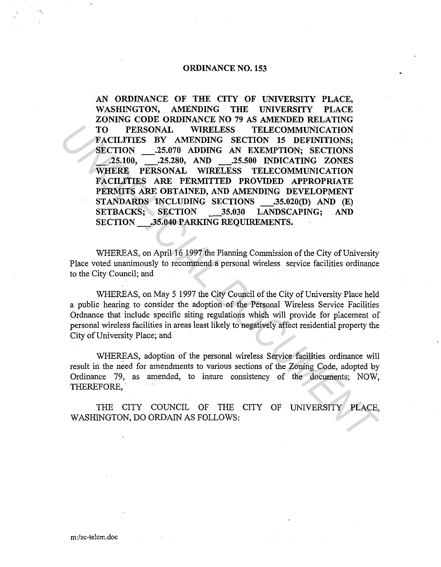### ORDINANCE NO. 153

AN ORDINANCE OF THE CITY OF UNIVERSITY PLACE, WASHINGTON, AMENDING THE UNIVERSITY PLACE ZONING CODE ORDINANCE NO 79 AS AMENDED RELATING TO PERSONAL WIRELESS TELECOMMUNICATION FACILITIES BY AMENDING SECTION 15 DEFINITIONS; SECTION .25.070 ADDING AN EXEMPTION; SECTIONS \_.25.100, \_.25.280, AND \_.25.500 INDICATING ZONES WHERE PERSONAL WIRELESS TELECOMMUNICATION FACILITIES ARE PERMITTED PROVIDED APPROPRIATE PERMITS ARE OBTAINED, AND AMENDING DEVELOPMENT STANDARDS INCLUDING SECTIONS \_.35.020(D) AND (E) SETBACKS; SECTION 35.030 LANDSCAPING; AND SECTION .35.040 PARKING REQUIREMENTS. TO PERSONAL WIRELESS TELECOMMUNICATION<br>
FACILITIES BY AMENDING SECTION 15 DEPINITIONS;<br>
SECTION 15.3.500 ADDING AN EXEMPTION; SECTIONS;<br>
USL:000, 15.5280, AND 155.500 IDIOCATING ZONES<br>
WHERE PERSONAL WIRELESS TELECOMMUNICA

WHEREAS, on April 16 1997 the Planning Commission of the City of University Place voted unanimously to recommend a personal wireless service facilities ordinance to the City Council; and

WHEREAS, on May 5 1997 the City Council of the City of University Place held a public hearing to consider the adoption of the Personal Wireless Service Facilities Ordnance that include specific siting regulations which will provide for placement of personal wireless facilities in areas least likely to negatively affect residential property the City of University Place; and

WHEREAS, adoption of the personal wireless Service facilities ordinance will result in the need for amendments to various sections of the Zoning Code, adopted by Ordinance 79, as amended, to insure consistency of the documents; NOW, THEREFORE,

THE CITY COUNCIL OF THE CITY OF UNIVERSITY PLACE, WASHINGTON, DO ORDAIN AS FOLLOWS: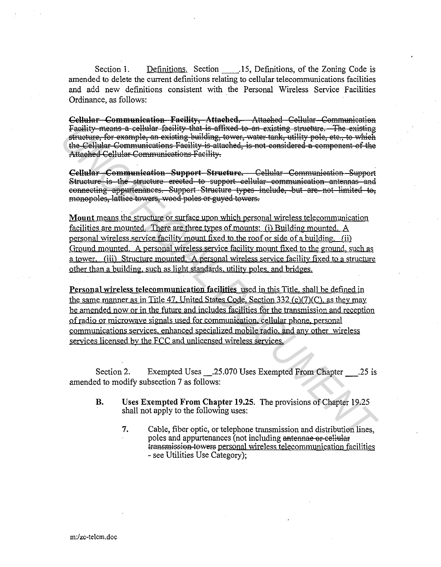Section 1. Definitions. Section 15, Definitions, of the Zoning Code is amended to delete the current definitions relating to cellular telecommunications facilities and add new definitions consistent with the Personal Wireless Service Facilities Ordinance, as follows:

Cellular Communication Facility, Attached, Attached Cellular Communication Facility means a cellular facility that is affixed to an existing structure. The existing structure, for example, an existing-building, tower, water tank, utility pole, etc., to which the Cellular Communications Facility is attached, is not considered a component of the Attached Cellular Communications Facility.

Cellular-Communication-Support-Structure. Cellular-Communication-Support Structure is the structure erected to support cellular communication antennas and connecting appurtenances. Support Structure types include, but are not limited to, monopoles, lattice towers, wood poles or guyed towers.

Mount means the structure or surface upon which personal wireless telecommunication facilities are mounted. There are three types of mounts: (i) Building mounted. A personal wireless service facility mount fixed to the roof or side of a building. (ii) Ground mounted. A personal wireless service facility mount fixed to the ground, such as a tower. (iii) Structure mounted. A personal wireless service facility fixed to a structure other than a building, such as light standards, utility poles, and bridges.

Personal wireless telecommunication facilities used in this Title, shall be defined in the same manner as in Title 47. United States Code, Section 332 (c)(7)(C), as they may be amended now or in the future and includes facilities for the transmission and reception of radio or microwave signals used for communication, cellular phone, personal communications services, enhanced specialized mobile radio, and any other wireless services licensed by the FCC and unlicensed wireless services.

Section 2. Exempted Uses .25.070 Uses Exempted From Chapter .25 is amended to modify subsection 7 as follows:

- Uses Exempted From Chapter 19.25. The provisions of Chapter 19.25 **B.** shall not apply to the following uses:
	- 7. Cable, fiber optic, or telephone transmission and distribution lines, poles and appurtenances (not including antennae or cellular transmission towers personal wireless telecommunication facilities - see Utilities Use Category);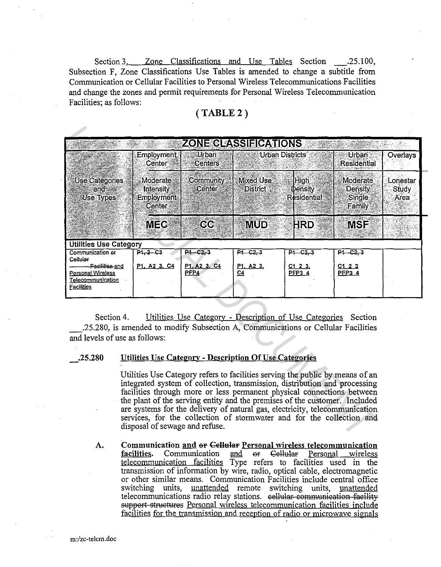Section 3. Zone Classifications and Use Tables Section \_.25.100, Subsection F, Zone Classifications Use Tables is amended to change a subtitle from Communication or Cellular Facilities to Personal Wireless Telecommunications Facilities and change the zones and permit requirements for Personal Wireless Telecommunication Facilities; as follows:

## (TABLE 2)

|                                                                                                           |                                                                                                                                                                              | <b>ZONE CLASSIFICATIONS</b>                                    |                                     |                                |                                                |                                  |
|-----------------------------------------------------------------------------------------------------------|------------------------------------------------------------------------------------------------------------------------------------------------------------------------------|----------------------------------------------------------------|-------------------------------------|--------------------------------|------------------------------------------------|----------------------------------|
|                                                                                                           | Employment<br>Center                                                                                                                                                         | <b>Urban</b><br><b>Urban Districts</b><br><b>Centers</b>       |                                     |                                | Urban<br><b>Residential</b>                    | Overlays                         |
| <b>Use Categories</b><br>and<br>Use Types                                                                 | Moderate<br><b>Intensity</b><br>Employment<br>Center                                                                                                                         | <b>Community</b><br>Center                                     | <b>Mixed Use</b><br><b>District</b> | High<br>Density<br>Residential | Moderate<br><b>Density</b><br>Single<br>Family | Lonestar<br><b>Study</b><br>Area |
|                                                                                                           | <b>MEC</b>                                                                                                                                                                   | CC <sub>1</sub>                                                | <b>MUD</b>                          | <b>HRD</b>                     | <b>MSF</b>                                     |                                  |
| <b>Utilities Use Category</b>                                                                             |                                                                                                                                                                              |                                                                |                                     |                                |                                                |                                  |
| Communication or                                                                                          | P1, 2, C3                                                                                                                                                                    | $P1 - C2, 3$                                                   | $P4$ $C2 - 3$                       | $P1 - C2, 3$                   | $P1 - C2, 3$                                   |                                  |
| Cellular<br>- Facilities and<br><b>Personal Wireless</b><br><b>Telecommunication</b><br><b>Facilities</b> | P1 A2 3, C4                                                                                                                                                                  | P1, A2 3, C4<br>PFP <sub>4</sub>                               | P1 A2 3<br>C4                       | $C1$ 2 3<br><b>PFP3 4</b>      | C123<br><b>PFP3 4</b>                          |                                  |
| Section 4.<br>.25.280                                                                                     | .25.280, is amended to modify Subsection A, Communications or Cellular Facilities<br>and levels of use as follows:<br>Utilities Use Category - Description Of Use Categories | Utilities Use Category - Description of Use Categories Section |                                     |                                |                                                |                                  |
|                                                                                                           | Utilities Use Category refers to facilities serving the public by means of an                                                                                                |                                                                |                                     |                                |                                                |                                  |

### .25.280 Utilities Use Category - Description Of Use Categories

A. Communication and <del>or Cellular</del> Personal wireless telecommunication facilities. Communication and  $\Theta$  Cellular Personal wireless telecommunication facilities Type refers to facilities used in the transmission of information by wire, radio, optical cable, electromagnetic or other similar means. Communication Facilities include central office switching units, unattended remote switching units, unattended telecommunications radio relay stations. eellular communication facility support structures Personal wireless telecommunication facilities include facilities for the transmission and reception of radio or microwave signals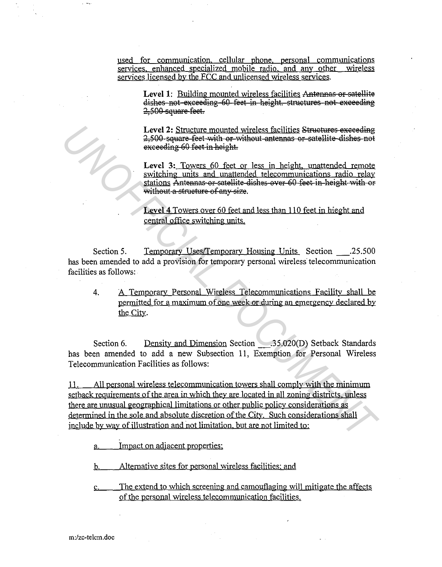used for communication, cellular phone, personal communications<br>services enhanced specialized mobile radio and any other wireless services, enhanced specialized mobile radio, and any other services licensed by the FCC and unlicensed wireless services.

**Level 1:** Building mounted wireless facilities Antennas or satellite dishes not exceeding 60 feet in height. structures not exceeding 2,500 square feet.

**Level 2:** Structure mounted wireless facilities Structures exceeding 2,500 square feet with or without antennas or satellite dishes not exceeding 60 feet in height.

Level 3: Towers 60 feet or less in height, unattended remote switching units and unattended telecommunications radio relay stations Antennas or satellite dishes over 60 feet in height with or without a structure of any size.

**Level 4** Towers oyer 60 feet and less than 110 feet in hieght and central office switching units.

Section 5. Temporary Uses/Temporary Housing Units Section .25.500 has been amended to add a provision for temporary personal wireless telecommunication facilities as follows:

4. A Temporary Personal Wireless Telecommunications Facility shall be permitted for a maximum of one week or during an emergency declared by the Citv.

Section 6. has been amended to add a new Subsection 11, Exemption for Personal Wireless Density and Dimension Section 35.020(D) Setback Standards Telecommunication Facilities as follows:

11. All personal wireless telecommunication towers shall comply with the minimum setback requirements of the area in which they are located in all zoning districts, unless there are unusual geographical limitations or other public policy considerations as determined in the sole and absolute discretion of the City. Such considerations shall include by way of illustration and not limitation, but are not limited to: **Example 2:** Sincture montred vireless fieldlines Structure and a space for wideous different or exactlife dishes not overceling with the system of the structure of the system of the system of the system of the system of t

Impact on adjacent properties:

b. Alternative sites for personal wireless facilities: and

The extend to which screening and camouflaging will mitigate the affects of the personal wireless telecommunication facilities.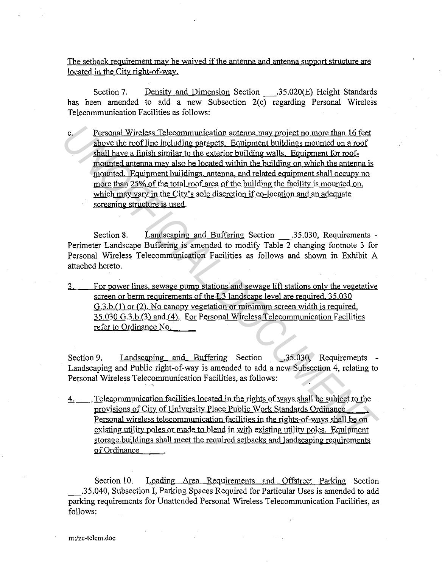The setback requirement may be waived if the antenna and antenna support structure are located in the City right-of-way.

Section 7. has been amended to add a new Subsection 2(c) regarding Personal Wireless Density and Dimension Section .35.020(E) Height Standards Telecommunication Facilities as follows:

c. Personal Wireless Telecommunication antenna may project no more than 16 feet above the roof line including parapets. Equipment buildings mounted on a roof shall have a finish similar to the exterior building walls. Equipment for roofmounted antenna may also be located within the building on which the antenna is mounted. Equipment buildings. antenna. and related equipment shall occupy no more than 25% of the total roof area of the building the facility is mounted on. which may vary in the City's sole discretion if co-location and an adequate screening structure is used. **Example Wireless Telecommunication antenna may project no more than 16 feet<br>above the cool line including paractis. Equipment for most<br>abell have a finish similar to the exterior building walls. Equipment for most<br>mounted** 

Section 8. Landscaping and Buffering Section .35.030, Requirements -Perimeter Landscape Buffering is amended to modify Table 2 changing footnote 3 for Personal Wireless Telecommunication Facilities as follows and shown in Exhibit A attached hereto.

3. For power lines. sewage pump stations and sewage lift stations only the vegetative screen or berm requirements of the L3 landscape level are required,  $35.030$ G.3.b.(1) or (2). No canopy vegetation or minimum screen width is required, 35.030 G.3.b.(3) and (4). For Personal Wireless Telecommunication Facilities refer to Ordinance No.

Section 9. Landscaping and Buffering Section .35.030, Requirements -Landscaping and Public right-of-way is amended to add a new Subsection 4, relating to Personal Wireless Telecommunication Facilities, as follows:

4. Telecommunication facilities located in the rights of ways shall be subject to the provisions of City of University Place Public Work Standards Ordinance Personal wireless telecommunication facilities in the rights-of-ways shall be on existing utility poles or made to blend in with existing utility poles. Equipment storage buildings shall meet the required setbacks and landscaping requirements of Ordinance

Section 10. Loading Area Requirements and Offstreet Parking Section \_.35.040, Subsection I, Parking Spaces Required for Particular Uses is amended to add parking requirements for Unattended Personal Wireless Telecommunication Facilities, as follows: